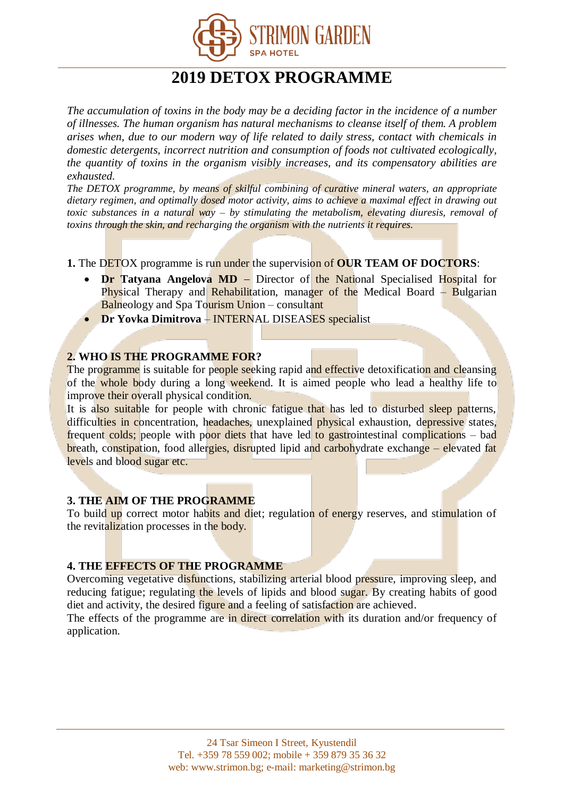

# **2019 DETOX PROGRAMME**

*The accumulation of toxins in the body may be a deciding factor in the incidence of a number of illnesses. The human organism has natural mechanisms to cleanse itself of them. A problem arises when, due to our modern way of life related to daily stress, contact with chemicals in domestic detergents, incorrect nutrition and consumption of foods not cultivated ecologically, the quantity of toxins in the organism visibly increases, and its compensatory abilities are exhausted.*

*The DETOX programme, by means of skilful combining of curative mineral waters, an appropriate dietary regimen, and optimally dosed motor activity, aims to achieve a maximal effect in drawing out toxic substances in a natural way – by stimulating the metabolism, elevating diuresis, removal of toxins through the skin, and recharging the organism with the nutrients it requires.*

**1.** The DETOX programme is run under the supervision of **OUR TEAM OF DOCTORS**:

- **Dr Tatyana Angelova MD** Director of the National Specialised Hospital for Physical Therapy and Rehabilitation, manager of the Medical Board  $-$  Bulgarian Balneology and Spa Tourism Union – consultant
- **Dr Yovka Dimitrova INTERNAL DISEASES** specialist

## **2. WHO IS THE PROGRAMME FOR?**

The programme is suitable for people seeking rapid and effective detoxification and cleansing of the whole body during a long weekend. It is aimed people who lead a healthy life to improve their overall physical condition.

It is also suitable for people with chronic fatigue that has led to disturbed sleep patterns, difficulties in concentration, headaches, unexplained physical exhaustion, depressive states, frequent colds; people with poor diets that have led to gastrointestinal complications – bad breath, constipation, food allergies, disrupted lipid and carbohydrate exchange – elevated fat levels and blood sugar etc.

#### **3. THE AIM OF THE PROGRAMME**

To build up correct motor habits and diet; regulation of energy reserves, and stimulation of the revitalization processes in the body.

#### **4. THE EFFECTS OF THE PROGRAMME**

Overcoming vegetative disfunctions, stabilizing arterial blood pressure, improving sleep, and reducing fatigue; regulating the levels of lipids and blood sugar. By creating habits of good diet and activity, the desired figure and a feeling of satisfaction are achieved.

The effects of the programme are in direct correlation with its duration and/or frequency of application.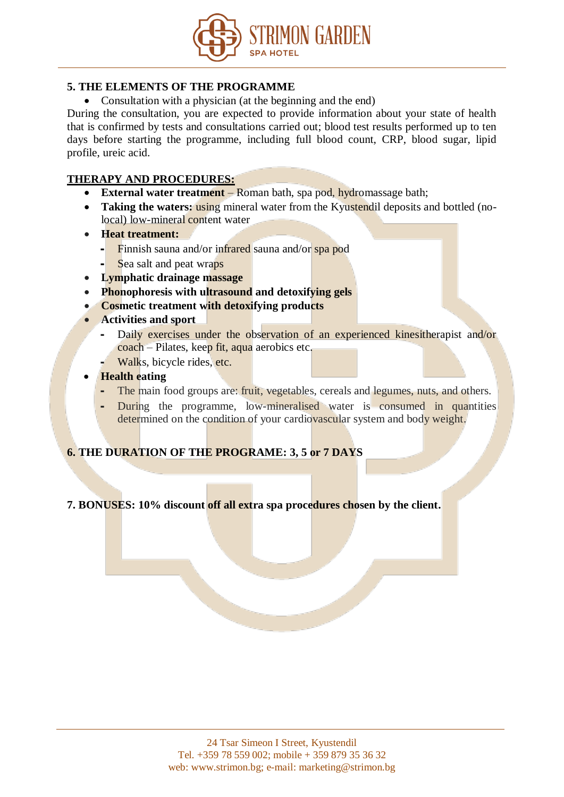

## **5. THE ELEMENTS OF THE PROGRAMME**

• Consultation with a physician (at the beginning and the end)

During the consultation, you are expected to provide information about your state of health that is confirmed by tests and consultations carried out; blood test results performed up to ten days before starting the programme, including full blood count, CRP, blood sugar, lipid profile, ureic acid.

## **THERAPY AND PROCEDURES:**

- **External water treatment** Roman bath, spa pod, hydromassage bath;
- **Taking the waters: using mineral water from the Kyustendil deposits and bottled (no**local) low-mineral content water
- **Heat treatment:**
	- Finnish sauna and/or infrared sauna and/or spa pod
	- Sea salt and peat wraps
- **Lymphatic drainage massage**
- Phonophoresis with ultrasound and detoxifying gels
- **Cosmetic treatment with detoxifying products**
- **Activities and sport**
	- Daily exercises under the observation of an experienced kinesitherapist and/or coach – Pilates, keep fit, aqua aerobics etc.
	- Walks, bicycle rides, etc.
- **•** Health eating
	- The main food groups are: fruit, vegetables, cereals and legumes, nuts, and others.
	- During the programme, low-mineralised water is consumed in quantities determined on the condition of your cardiovascular system and body weight.

# **6. THE DURATION OF THE PROGRAME: 3, 5 or 7 DAYS**

## **7. BONUSES: 10% discount off all extra spa procedures chosen by the client.**